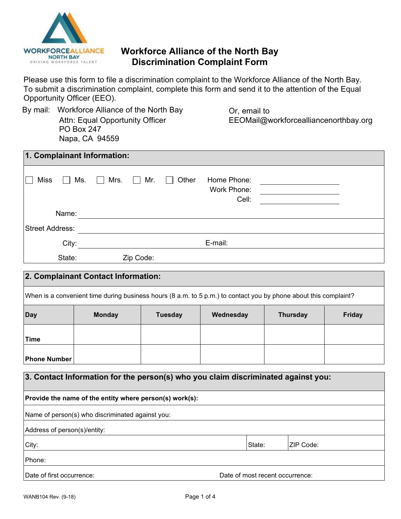

## **Workforce Alliance of the North Bay Discrimination Complaint Form**

Please use this form to file a discrimination complaint to the Workforce Alliance of the North Bay. To submit a discrimination complaint, complete this form and send it to the attention of the Equal Opportunity Officer (EEO).

| By mail: Workforce Alliance of the North Bay |  |  |  |  |  |
|----------------------------------------------|--|--|--|--|--|
| Attn: Equal Opportunity Officer              |  |  |  |  |  |
| PO Box 247                                   |  |  |  |  |  |
| Napa, CA 94559                               |  |  |  |  |  |

Or, email to EEOMail@workforcealliancenorthbay.org

| 1. Complainant Information: |                  |                 |            |                  |                                     |  |
|-----------------------------|------------------|-----------------|------------|------------------|-------------------------------------|--|
| <b>Miss</b>                 | Ms.<br>$\Box$    | Mrs.<br>$\perp$ | $\Box$ Mr. | Other<br>$\perp$ | Home Phone:<br>Work Phone:<br>Cell: |  |
|                             | Name:            |                 |            |                  |                                     |  |
| <b>Street Address:</b>      |                  |                 |            |                  |                                     |  |
|                             | E-mail:<br>City: |                 |            |                  |                                     |  |
|                             | State:           |                 | Zip Code:  |                  |                                     |  |

# **2. Complainant Contact Information:** When is a convenient time during business hours (8 a.m. to 5 p.m.) to contact you by phone about this complaint? **Day Monday Tuesday Wednesday Thursday Friday Time Phone Number**

| 3. Contact Information for the person(s) who you claim discriminated against you: |                                 |           |  |  |  |  |
|-----------------------------------------------------------------------------------|---------------------------------|-----------|--|--|--|--|
| Provide the name of the entity where person(s) work(s):                           |                                 |           |  |  |  |  |
| Name of person(s) who discriminated against you:                                  |                                 |           |  |  |  |  |
| Address of person(s)/entity:                                                      |                                 |           |  |  |  |  |
| City:                                                                             | State:                          | ZIP Code: |  |  |  |  |
| <b>Phone:</b>                                                                     |                                 |           |  |  |  |  |
| Date of first occurrence:                                                         | Date of most recent occurrence: |           |  |  |  |  |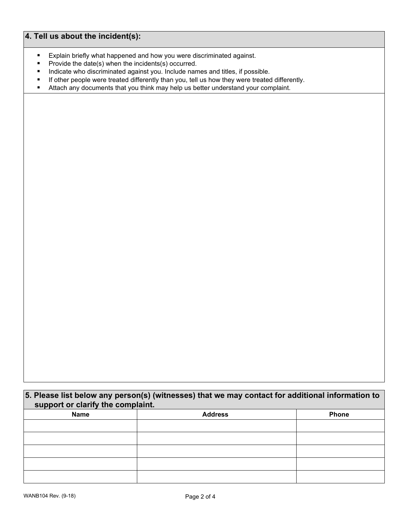## **4. Tell us about the incident(s):**

- Explain briefly what happened and how you were discriminated against.<br>Provide the date(s) when the incidents(s) occurred
- Provide the date(s) when the incidents(s) occurred.
- **Indicate who discriminated against you. Include names and titles, if possible.**
- If other people were treated differently than you, tell us how they were treated differently.<br>Attach any documents that you think may help us better understand your complaint.
- Attach any documents that you think may help us better understand your complaint.

**5. Please list below any person(s) (witnesses) that we may contact for additional information to support or clarify the complaint. Name Address Phone**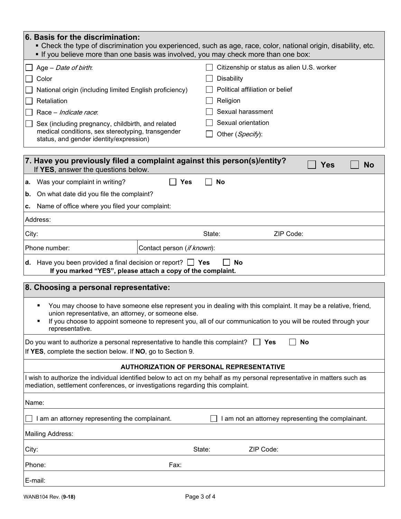| 6. Basis for the discrimination:<br>• Check the type of discrimination you experienced, such as age, race, color, national origin, disability, etc.<br>. If you believe more than one basis was involved, you may check more than one box:                                                                  |                            |                                                 |  |  |  |  |
|-------------------------------------------------------------------------------------------------------------------------------------------------------------------------------------------------------------------------------------------------------------------------------------------------------------|----------------------------|-------------------------------------------------|--|--|--|--|
| Age - Date of birth.                                                                                                                                                                                                                                                                                        |                            | Citizenship or status as alien U.S. worker      |  |  |  |  |
| Color                                                                                                                                                                                                                                                                                                       |                            | Disability                                      |  |  |  |  |
| National origin (including limited English proficiency)                                                                                                                                                                                                                                                     |                            | Political affiliation or belief                 |  |  |  |  |
| Retaliation                                                                                                                                                                                                                                                                                                 |                            | Religion                                        |  |  |  |  |
| Race - Indicate race.                                                                                                                                                                                                                                                                                       |                            | Sexual harassment                               |  |  |  |  |
| Sex (including pregnancy, childbirth, and related                                                                                                                                                                                                                                                           |                            | Sexual orientation                              |  |  |  |  |
| medical conditions, sex stereotyping, transgender<br>status, and gender identity/expression)                                                                                                                                                                                                                |                            | Other (Specify):                                |  |  |  |  |
| 7. Have you previously filed a complaint against this person(s)/entity?<br>If YES, answer the questions below.                                                                                                                                                                                              |                            | Yes<br><b>No</b>                                |  |  |  |  |
| Was your complaint in writing?<br>а.                                                                                                                                                                                                                                                                        | <b>Yes</b>                 | <b>No</b>                                       |  |  |  |  |
| On what date did you file the complaint?<br>b.                                                                                                                                                                                                                                                              |                            |                                                 |  |  |  |  |
| Name of office where you filed your complaint:<br>C.                                                                                                                                                                                                                                                        |                            |                                                 |  |  |  |  |
| Address:                                                                                                                                                                                                                                                                                                    |                            |                                                 |  |  |  |  |
| City:                                                                                                                                                                                                                                                                                                       |                            | ZIP Code:<br>State:                             |  |  |  |  |
| Phone number:                                                                                                                                                                                                                                                                                               | Contact person (if known): |                                                 |  |  |  |  |
| <b>d.</b> Have you been provided a final decision or report? $\Box$ Yes<br><b>No</b><br>If you marked "YES", please attach a copy of the complaint.                                                                                                                                                         |                            |                                                 |  |  |  |  |
| 8. Choosing a personal representative:                                                                                                                                                                                                                                                                      |                            |                                                 |  |  |  |  |
| You may choose to have someone else represent you in dealing with this complaint. It may be a relative, friend,<br>union representative, an attorney, or someone else.<br>If you choose to appoint someone to represent you, all of our communication to you will be routed through your<br>representative. |                            |                                                 |  |  |  |  |
| No<br>Do you want to authorize a personal representative to handle this complaint?<br><b>No</b> Yes<br>If YES, complete the section below. If NO, go to Section 9.                                                                                                                                          |                            |                                                 |  |  |  |  |
|                                                                                                                                                                                                                                                                                                             |                            | <b>AUTHORIZATION OF PERSONAL REPRESENTATIVE</b> |  |  |  |  |
| I wish to authorize the individual identified below to act on my behalf as my personal representative in matters such as<br>mediation, settlement conferences, or investigations regarding this complaint.                                                                                                  |                            |                                                 |  |  |  |  |
| Name:                                                                                                                                                                                                                                                                                                       |                            |                                                 |  |  |  |  |
| I am an attorney representing the complainant.<br>am not an attorney representing the complainant.                                                                                                                                                                                                          |                            |                                                 |  |  |  |  |
| Mailing Address:                                                                                                                                                                                                                                                                                            |                            |                                                 |  |  |  |  |
| City:                                                                                                                                                                                                                                                                                                       |                            | ZIP Code:<br>State:                             |  |  |  |  |
| Phone:                                                                                                                                                                                                                                                                                                      | Fax:                       |                                                 |  |  |  |  |
| E-mail:                                                                                                                                                                                                                                                                                                     |                            |                                                 |  |  |  |  |